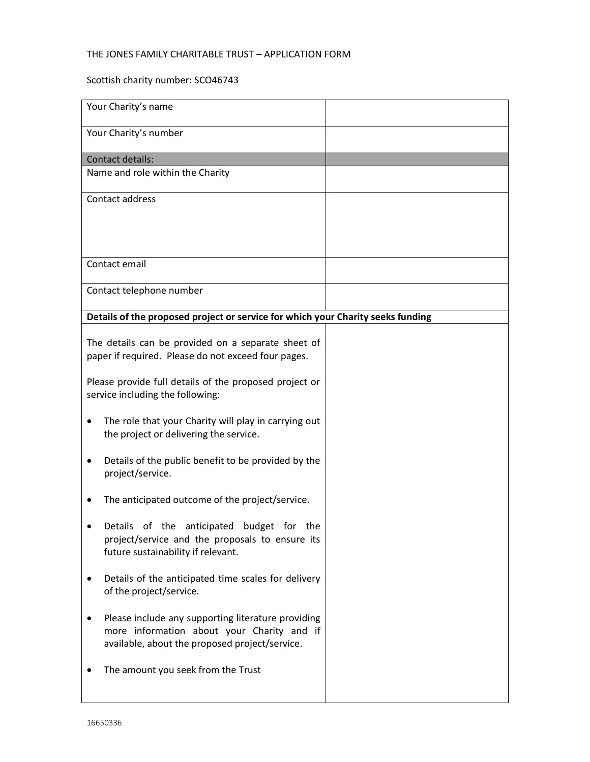## THE JONES FAMILY CHARITABLE TRUST – APPLICATION FORM

## Scottish charity number: SCO46743

| Your Charity's name                                                                                                                                |  |
|----------------------------------------------------------------------------------------------------------------------------------------------------|--|
| Your Charity's number                                                                                                                              |  |
| Contact details:                                                                                                                                   |  |
| Name and role within the Charity                                                                                                                   |  |
| Contact address                                                                                                                                    |  |
|                                                                                                                                                    |  |
|                                                                                                                                                    |  |
| Contact email                                                                                                                                      |  |
| Contact telephone number                                                                                                                           |  |
| Details of the proposed project or service for which your Charity seeks funding                                                                    |  |
| The details can be provided on a separate sheet of<br>paper if required. Please do not exceed four pages.                                          |  |
| Please provide full details of the proposed project or<br>service including the following:                                                         |  |
| The role that your Charity will play in carrying out<br>the project or delivering the service.                                                     |  |
| Details of the public benefit to be provided by the<br>project/service.                                                                            |  |
| The anticipated outcome of the project/service.                                                                                                    |  |
| of the<br>anticipated<br>budget for the<br>Details<br>project/service and the proposals to ensure its<br>future sustainability if relevant.        |  |
| Details of the anticipated time scales for delivery<br>of the project/service.                                                                     |  |
| Please include any supporting literature providing<br>more information about your Charity and if<br>available, about the proposed project/service. |  |
| The amount you seek from the Trust                                                                                                                 |  |